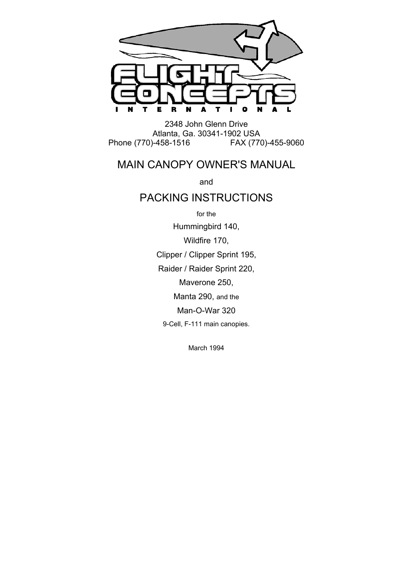

2348 John Glenn Drive Atlanta, Ga. 30341-1902 USA Phone (770)-458-1516 FAX (770)-455-9060

# MAIN CANOPY OWNER'S MANUAL

and

## PACKING INSTRUCTIONS

for the Hummingbird 140, Wildfire 170, Clipper / Clipper Sprint 195, Raider / Raider Sprint 220, Maverone 250, Manta 290, and the Man-O-War 320 9-Cell, F-111 main canopies.

March 1994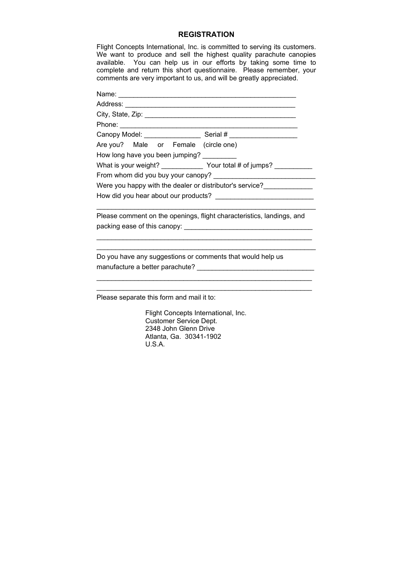#### **REGISTRATION**

Flight Concepts International, Inc. is committed to serving its customers. We want to produce and sell the highest quality parachute canopies available. You can help us in our efforts by taking some time to complete and return this short questionnaire. Please remember, your comments are very important to us, and will be greatly appreciated.

|  |  |  |  | Phone: <u>www.communications.communications.com</u>                      |
|--|--|--|--|--------------------------------------------------------------------------|
|  |  |  |  |                                                                          |
|  |  |  |  | Are you? Male or Female (circle one)                                     |
|  |  |  |  | How long have you been jumping?                                          |
|  |  |  |  | What is your weight? _______________ Your total # of jumps? ____________ |
|  |  |  |  |                                                                          |
|  |  |  |  | Were you happy with the dealer or distributor's service?                 |
|  |  |  |  |                                                                          |
|  |  |  |  |                                                                          |

Please comment on the openings, flight characteristics, landings, and packing ease of this canopy: \_\_\_\_\_\_\_\_\_\_\_\_\_\_\_\_\_\_\_\_\_\_\_\_\_\_\_\_\_\_\_\_\_\_

\_\_\_\_\_\_\_\_\_\_\_\_\_\_\_\_\_\_\_\_\_\_\_\_\_\_\_\_\_\_\_\_\_\_\_\_\_\_\_\_\_\_\_\_\_\_\_\_\_\_\_\_\_\_\_\_\_ \_\_\_\_\_\_\_\_\_\_\_\_\_\_\_\_\_\_\_\_\_\_\_\_\_\_\_\_\_\_\_\_\_\_\_\_\_\_\_\_\_\_\_\_\_\_\_\_\_\_\_\_\_\_\_\_\_\_

\_\_\_\_\_\_\_\_\_\_\_\_\_\_\_\_\_\_\_\_\_\_\_\_\_\_\_\_\_\_\_\_\_\_\_\_\_\_\_\_\_\_\_\_\_\_\_\_\_\_\_\_\_\_\_\_\_

Do you have any suggestions or comments that would help us manufacture a better parachute? \_\_\_\_\_\_\_\_\_\_\_\_\_\_\_\_\_\_\_\_\_\_\_\_\_\_\_\_\_\_\_

Please separate this form and mail it to:

 Flight Concepts International, Inc. Customer Service Dept. 2348 John Glenn Drive Atlanta, Ga. 30341-1902 U.S.A.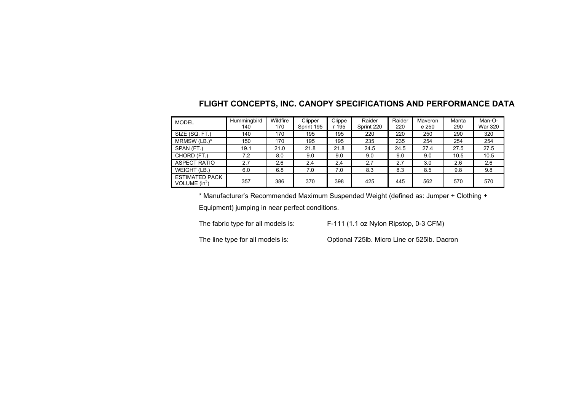### **FLIGHT CONCEPTS, INC. CANOPY SPECIFICATIONS AND PERFORMANCE DATA**

| <b>MODEL</b>                             | Hummingbird<br>140 | Wildfire<br>170 | Clipper<br>Sprint 195 | Clippe<br>r 195 | Raider<br>Sprint 220 | Raider<br>220 | Maveron<br>e 250 | Manta<br>290 | Man-O-<br><b>War 320</b> |
|------------------------------------------|--------------------|-----------------|-----------------------|-----------------|----------------------|---------------|------------------|--------------|--------------------------|
| SIZE (SQ. FT.)                           | 140                | 170             | 195                   | 195             | 220                  | 220           | 250              | 290          | 320                      |
| MRMSW (LB.)*                             | 150                | 170             | 195                   | 195             | 235                  | 235           | 254              | 254          | 254                      |
| SPAN (FT.)                               | 19.1               | 21.0            | 21.8                  | 21.8            | 24.5                 | 24.5          | 27.4             | 27.5         | 27.5                     |
| CHORD (FT.)                              | 7.2                | 8.0             | 9.0                   | 9.0             | 9.0                  | 9.0           | 9.0              | 10.5         | 10.5                     |
| <b>ASPECT RATIO</b>                      | 2.7                | 2.6             | 2.4                   | 2.4             | 2.7                  | 2.7           | 3.0              | 2.6          | 2.6                      |
| WEIGHT (LB.)                             | 6.0                | 6.8             | 7.0                   | 7.0             | 8.3                  | 8.3           | 8.5              | 9.8          | 9.8                      |
| <b>ESTIMATED PACK</b><br>VOLUME $(in^3)$ | 357                | 386             | 370                   | 398             | 425                  | 445           | 562              | 570          | 570                      |

\* Manufacturer's Recommended Maximum Suspended Weight (defined as: Jumper + Clothing +

Equipment) jumping in near perfect conditions.

The fabric type for all models is: F-111 (1.1 oz Nylon Ripstop, 0-3 CFM)

The line type for all models is: Optional 725lb. Micro Line or 525lb. Dacron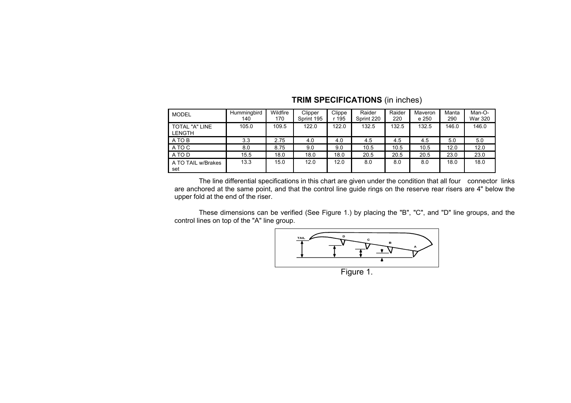| <b>MODEL</b>                    | Hummingbird<br>140 | Wildfire<br>170 | Clipper<br>Sprint 195 | Clippe<br>r 195 | Raider<br>Sprint 220 | Raider<br>220 | Maveron<br>e 250 | Manta<br>290 | Man-O-<br>War 320 |
|---------------------------------|--------------------|-----------------|-----------------------|-----------------|----------------------|---------------|------------------|--------------|-------------------|
| TOTAL "A" LINE<br><b>LENGTH</b> | 105.0              | 109.5           | 122.0                 | 122.0           | 132.5                | 132.5         | 132.5            | 146.0        | 146.0             |
| A TO B                          | 3.3                | 2.75            | 4.0                   | 4.0             | 4.5                  | 4.5           | 4.5              | 5.0          | 5.0               |
| A TO C                          | 8.0                | 8.75            | 9.0                   | 9.0             | 10.5                 | 10.5          | 10.5             | 12.0         | 12.0              |
| A TO D                          | 15.5               | 18.0            | 18.0                  | 18.0            | 20.5                 | 20.5          | 20.5             | 23.0         | 23.0              |
| A TO TAIL w/Brakes<br>set       | 13.3               | 15.0            | 12.0                  | 12.0            | 8.0                  | 8.0           | 8.0              | 18.0         | 18.0              |

#### **TRIM SPECIFICATIONS** (in inches)

 The line differential specifications in this chart are given under the condition that all four connector links are anchored at the same point, and that the control line guide rings on the reserve rear risers are 4" below the upper fold at the end of the riser.

 These dimensions can be verified (See Figure 1.) by placing the "B", "C", and "D" line groups, and the control lines on top of the "A" line group.



Figure 1.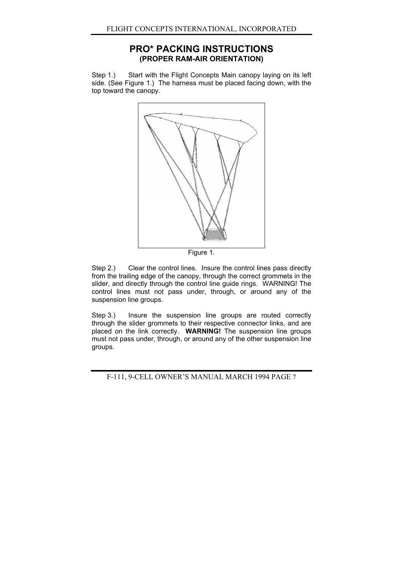### **PRO\* PACKING INSTRUCTIONS (PROPER RAM-AIR ORIENTATION)**

Step 1.) Start with the Flight Concepts Main canopy laying on its left side. (See Figure 1.) The harness must be placed facing down, with the top toward the canopy.



Figure 1.

Step 2.) Clear the control lines. Insure the control lines pass directly from the trailing edge of the canopy, through the correct grommets in the slider, and directly through the control line guide rings. WARNING! The control lines must not pass under, through, or around any of the suspension line groups.

Step 3.) Insure the suspension line groups are routed correctly through the slider grommets to their respective connector links, and are placed on the link correctly. **WARNING!** The suspension line groups must not pass under, through, or around any of the other suspension line groups.

F-111, 9-CELL OWNER'S MANUAL MARCH 1994 PAGE 7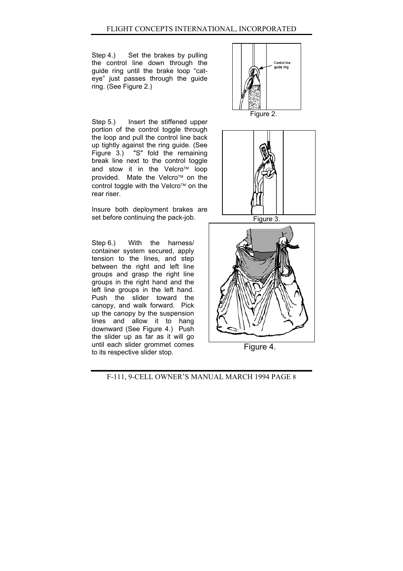Step 4.) Set the brakes by pulling the control line down through the guide ring until the brake loop "cateye" just passes through the guide ring. (See Figure 2.)

Step 5.) Insert the stiffened upper portion of the control toggle through the loop and pull the control line back up tightly against the ring guide. (See Figure 3.) "S" fold the remaining break line next to the control toggle and stow it in the Velcro<sup> $M$ </sup> loop provided. Mate the Velcro<sup>™</sup> on the control toggle with the Velcro<sup> $M$ </sup> on the rear riser.

Insure both deployment brakes are set before continuing the pack-job. Figure 3.

Step 6.) With the harness/ container system secured, apply tension to the lines, and step between the right and left line groups and grasp the right line groups in the right hand and the left line groups in the left hand. Push the slider toward the canopy, and walk forward. Pick up the canopy by the suspension lines and allow it to hang downward (See Figure 4.) Push the slider up as far as it will go until each slider grommet comes until each slider grommet comes<br>to its respective slider stop.



Figure 2.



F-111, 9-CELL OWNER'S MANUAL MARCH 1994 PAGE 8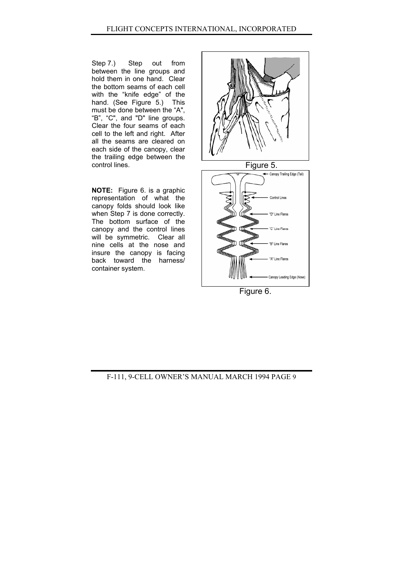Step 7.) Step out from between the line groups and hold them in one hand. Clear the bottom seams of each cell with the "knife edge" of the hand. (See Figure 5.) This must be done between the "A", "B", "C", and "D" line groups. Clear the four seams of each cell to the left and right. After all the seams are cleared on each side of the canopy, clear the trailing edge between the control lines. Figure 5.

**NOTE:** Figure 6. is a graphic representation of what the canopy folds should look like when Step 7 is done correctly. The bottom surface of the canopy and the control lines will be symmetric. Clear all nine cells at the nose and insure the canopy is facing back toward the harness/ container system.



Figure 6.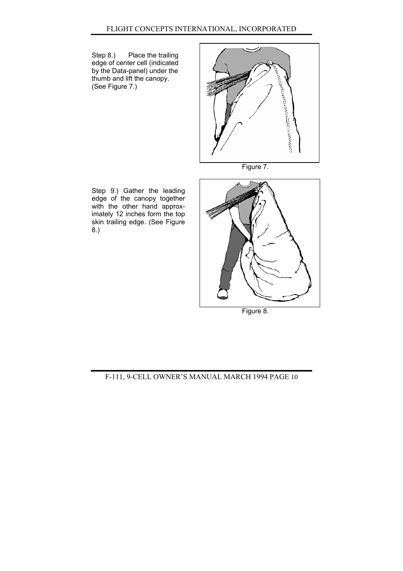Step 8.) Place the trailing edge of center cell (indicated by the Data-panel) under the thumb and lift the canopy. (See Figure 7.)



Figure 7.

Step 9.) Gather the leading edge of the canopy together with the other hand approximately 12 inches form the top skin trailing edge. (See Figure 8.)



Figure 8.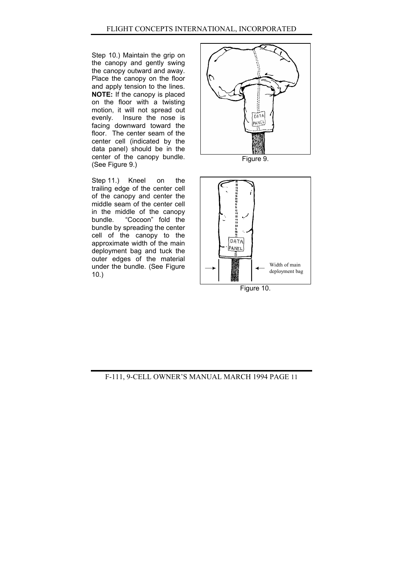Step 10.) Maintain the grip on the canopy and gently swing the canopy outward and away. Place the canopy on the floor and apply tension to the lines. **NOTE:** If the canopy is placed on the floor with a twisting motion, it will not spread out evenly. Insure the nose is facing downward toward the floor. The center seam of the center cell (indicated by the data panel) should be in the center of the canopy bundle. Figure 9.<br>(See Figure 9.)

Step 11.) Kneel on the trailing edge of the center cell of the canopy and center the middle seam of the center cell in the middle of the canopy<br>bundle. "Cocoon" fold the "Cocoon" fold the bundle by spreading the center cell of the canopy to the approximate width of the main deployment bag and tuck the outer edges of the material under the bundle. (See Figure 10.)





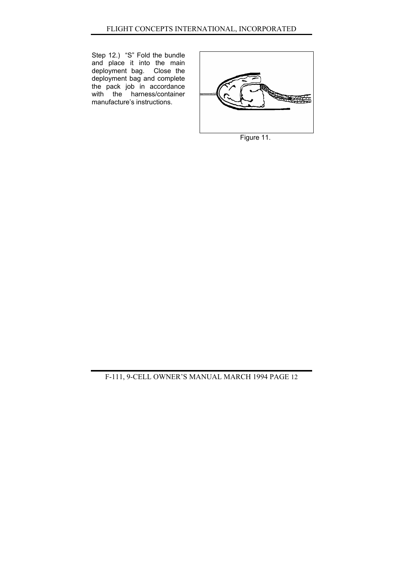Step 12.) "S" Fold the bundle and place it into the main deployment bag. Close the deployment bag and complete the pack job in accordance with the harness/container manufacture's instructions.



Figure 11.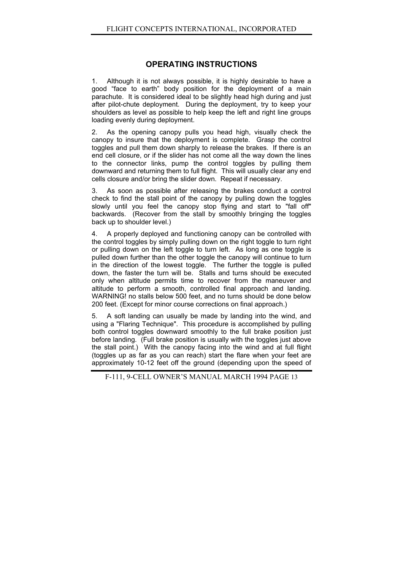#### **OPERATING INSTRUCTIONS**

1. Although it is not always possible, it is highly desirable to have a good "face to earth" body position for the deployment of a main parachute. It is considered ideal to be slightly head high during and just after pilot-chute deployment. During the deployment, try to keep your shoulders as level as possible to help keep the left and right line groups loading evenly during deployment.

2. As the opening canopy pulls you head high, visually check the canopy to insure that the deployment is complete. Grasp the control toggles and pull them down sharply to release the brakes. If there is an end cell closure, or if the slider has not come all the way down the lines to the connector links, pump the control toggles by pulling them downward and returning them to full flight. This will usually clear any end cells closure and/or bring the slider down. Repeat if necessary.

3. As soon as possible after releasing the brakes conduct a control check to find the stall point of the canopy by pulling down the toggles slowly until you feel the canopy stop flying and start to "fall off" backwards. (Recover from the stall by smoothly bringing the toggles back up to shoulder level.)

4. A properly deployed and functioning canopy can be controlled with the control toggles by simply pulling down on the right toggle to turn right or pulling down on the left toggle to turn left. As long as one toggle is pulled down further than the other toggle the canopy will continue to turn in the direction of the lowest toggle. The further the toggle is pulled down, the faster the turn will be. Stalls and turns should be executed only when altitude permits time to recover from the maneuver and altitude to perform a smooth, controlled final approach and landing. WARNING! no stalls below 500 feet, and no turns should be done below 200 feet. (Except for minor course corrections on final approach.)

5. A soft landing can usually be made by landing into the wind, and using a "Flaring Technique". This procedure is accomplished by pulling both control toggles downward smoothly to the full brake position just before landing. (Full brake position is usually with the toggles just above the stall point.) With the canopy facing into the wind and at full flight (toggles up as far as you can reach) start the flare when your feet are approximately 10-12 feet off the ground (depending upon the speed of

F-111, 9-CELL OWNER'S MANUAL MARCH 1994 PAGE 13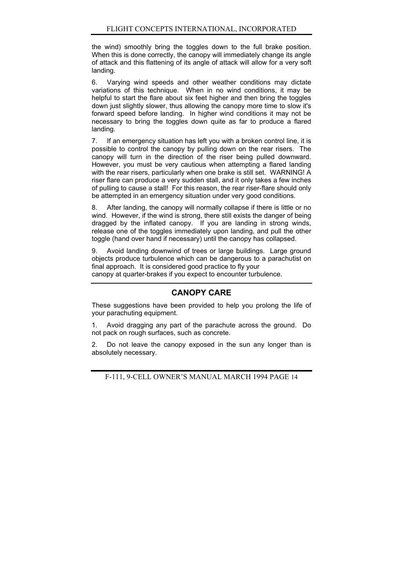the wind) smoothly bring the toggles down to the full brake position. When this is done correctly, the canopy will immediately change its angle of attack and this flattening of its angle of attack will allow for a very soft landing.

6. Varying wind speeds and other weather conditions may dictate variations of this technique. When in no wind conditions, it may be helpful to start the flare about six feet higher and then bring the toggles down just slightly slower, thus allowing the canopy more time to slow it's forward speed before landing. In higher wind conditions it may not be necessary to bring the toggles down quite as far to produce a flared landing.

7. If an emergency situation has left you with a broken control line, it is possible to control the canopy by pulling down on the rear risers. The canopy will turn in the direction of the riser being pulled downward. However, you must be very cautious when attempting a flared landing with the rear risers, particularly when one brake is still set. WARNING! A riser flare can produce a very sudden stall, and it only takes a few inches of pulling to cause a stall! For this reason, the rear riser-flare should only be attempted in an emergency situation under very good conditions.

8. After landing, the canopy will normally collapse if there is little or no wind. However, if the wind is strong, there still exists the danger of being dragged by the inflated canopy. If you are landing in strong winds, release one of the toggles immediately upon landing, and pull the other toggle (hand over hand if necessary) until the canopy has collapsed.

9. Avoid landing downwind of trees or large buildings. Large ground objects produce turbulence which can be dangerous to a parachutist on final approach. It is considered good practice to fly your canopy at quarter-brakes if you expect to encounter turbulence.

#### **CANOPY CARE**

These suggestions have been provided to help you prolong the life of your parachuting equipment.

1. Avoid dragging any part of the parachute across the ground. Do not pack on rough surfaces, such as concrete.

2. Do not leave the canopy exposed in the sun any longer than is absolutely necessary.